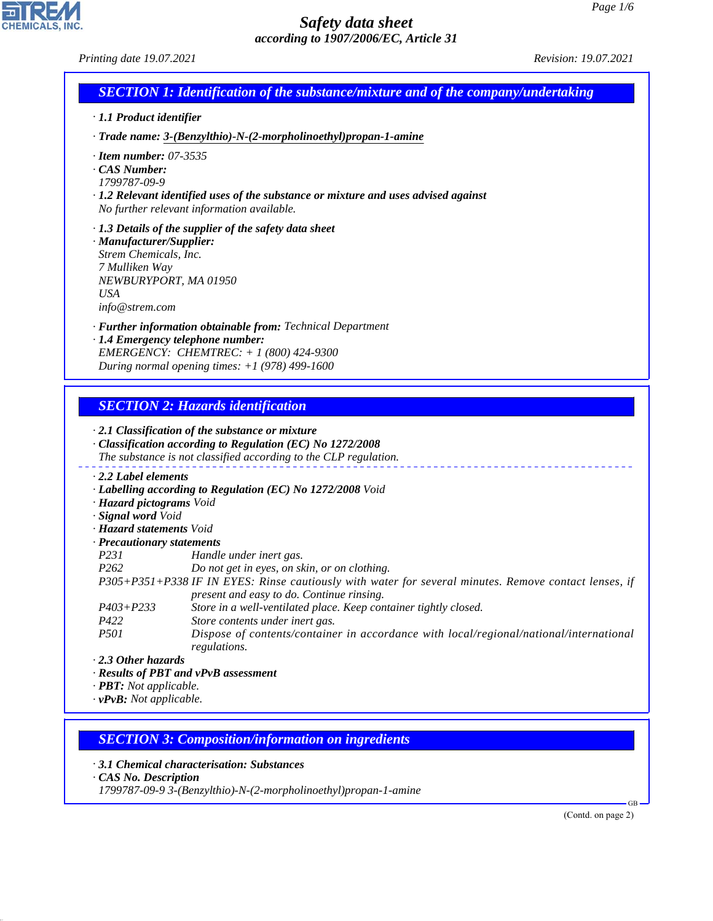| · 1.1 Product identifier                                             |                                                                                                                      |  |
|----------------------------------------------------------------------|----------------------------------------------------------------------------------------------------------------------|--|
|                                                                      | · Trade name: 3-(Benzylthio)-N-(2-morpholinoethyl)propan-1-amine                                                     |  |
| $\cdot$ Item number: 07-3535<br>$\cdot$ CAS Number:                  |                                                                                                                      |  |
| 1799787-09-9                                                         |                                                                                                                      |  |
|                                                                      | $\cdot$ 1.2 Relevant identified uses of the substance or mixture and uses advised against                            |  |
|                                                                      | No further relevant information available.                                                                           |  |
|                                                                      | $\cdot$ 1.3 Details of the supplier of the safety data sheet                                                         |  |
| · Manufacturer/Supplier:                                             |                                                                                                                      |  |
| Strem Chemicals, Inc.                                                |                                                                                                                      |  |
| 7 Mulliken Way                                                       |                                                                                                                      |  |
| NEWBURYPORT, MA 01950<br><b>USA</b>                                  |                                                                                                                      |  |
| info@stream.com                                                      |                                                                                                                      |  |
|                                                                      | · Further information obtainable from: Technical Department                                                          |  |
|                                                                      | · 1.4 Emergency telephone number:                                                                                    |  |
|                                                                      | EMERGENCY: CHEMTREC: + 1 (800) 424-9300                                                                              |  |
|                                                                      |                                                                                                                      |  |
|                                                                      | During normal opening times: $+1$ (978) 499-1600<br><b>SECTION 2: Hazards identification</b>                         |  |
|                                                                      | $\cdot$ 2.1 Classification of the substance or mixture<br>· Classification according to Regulation (EC) No 1272/2008 |  |
|                                                                      | The substance is not classified according to the CLP regulation.                                                     |  |
| $\cdot$ 2.2 Label elements                                           |                                                                                                                      |  |
|                                                                      | · Labelling according to Regulation (EC) No 1272/2008 Void                                                           |  |
| · Hazard pictograms Void                                             |                                                                                                                      |  |
| · Signal word Void                                                   |                                                                                                                      |  |
| · Hazard statements Void                                             |                                                                                                                      |  |
| · Precautionary statements<br>P231                                   | Handle under inert gas.                                                                                              |  |
| P <sub>262</sub>                                                     | Do not get in eyes, on skin, or on clothing.                                                                         |  |
|                                                                      | P305+P351+P338 IF IN EYES: Rinse cautiously with water for several minutes. Remove contact lenses, if                |  |
|                                                                      | present and easy to do. Continue rinsing.                                                                            |  |
| $P403 + P233$                                                        | Store in a well-ventilated place. Keep container tightly closed.                                                     |  |
| P422                                                                 | Store contents under inert gas.                                                                                      |  |
| P501                                                                 | Dispose of contents/container in accordance with local/regional/national/international                               |  |
| $\cdot$ 2.3 Other hazards                                            | regulations.                                                                                                         |  |
|                                                                      | · Results of PBT and vPvB assessment                                                                                 |  |
| $\cdot$ <b>PBT:</b> Not applicable.<br>$\cdot$ vPvB: Not applicable. |                                                                                                                      |  |

*· 3.1 Chemical characterisation: Substances*

*· CAS No. Description*

44.1.1

CHEMICALS, INC.

*1799787-09-9 3-(Benzylthio)-N-(2-morpholinoethyl)propan-1-amine*

(Contd. on page 2)

GB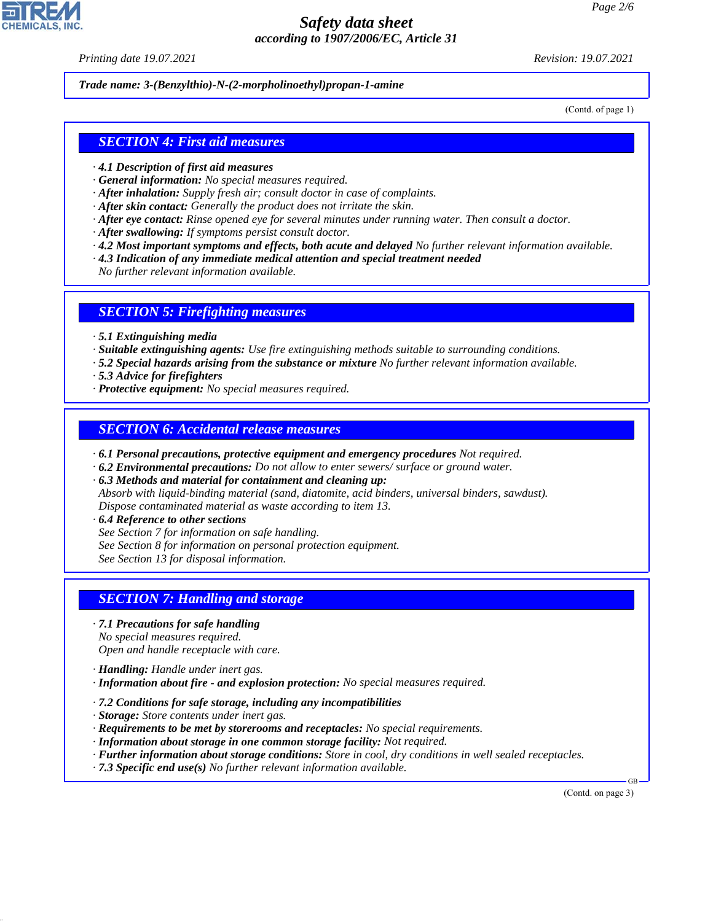*Printing date 19.07.2021 Revision: 19.07.2021*

*Trade name: 3-(Benzylthio)-N-(2-morpholinoethyl)propan-1-amine*

(Contd. of page 1)

### *SECTION 4: First aid measures*

- *· 4.1 Description of first aid measures*
- *· General information: No special measures required.*
- *· After inhalation: Supply fresh air; consult doctor in case of complaints.*
- *· After skin contact: Generally the product does not irritate the skin.*
- *· After eye contact: Rinse opened eye for several minutes under running water. Then consult a doctor.*
- *· After swallowing: If symptoms persist consult doctor.*
- *· 4.2 Most important symptoms and effects, both acute and delayed No further relevant information available.*
- *· 4.3 Indication of any immediate medical attention and special treatment needed*
- *No further relevant information available.*

#### *SECTION 5: Firefighting measures*

- *· 5.1 Extinguishing media*
- *· Suitable extinguishing agents: Use fire extinguishing methods suitable to surrounding conditions.*
- *· 5.2 Special hazards arising from the substance or mixture No further relevant information available.*
- *· 5.3 Advice for firefighters*
- *· Protective equipment: No special measures required.*

#### *SECTION 6: Accidental release measures*

- *· 6.1 Personal precautions, protective equipment and emergency procedures Not required.*
- *· 6.2 Environmental precautions: Do not allow to enter sewers/ surface or ground water.*
- *· 6.3 Methods and material for containment and cleaning up:*
- *Absorb with liquid-binding material (sand, diatomite, acid binders, universal binders, sawdust). Dispose contaminated material as waste according to item 13.*
- *· 6.4 Reference to other sections*
- *See Section 7 for information on safe handling.*
- *See Section 8 for information on personal protection equipment.*
- *See Section 13 for disposal information.*

## *SECTION 7: Handling and storage*

- *· 7.1 Precautions for safe handling*
- *No special measures required.*
- *Open and handle receptacle with care.*
- *· Handling: Handle under inert gas.*
- *· Information about fire and explosion protection: No special measures required.*
- *· 7.2 Conditions for safe storage, including any incompatibilities*
- *· Storage: Store contents under inert gas.*
- *· Requirements to be met by storerooms and receptacles: No special requirements.*
- *· Information about storage in one common storage facility: Not required.*
- *· Further information about storage conditions: Store in cool, dry conditions in well sealed receptacles.*
- *· 7.3 Specific end use(s) No further relevant information available.*

(Contd. on page 3)

GB



44.1.1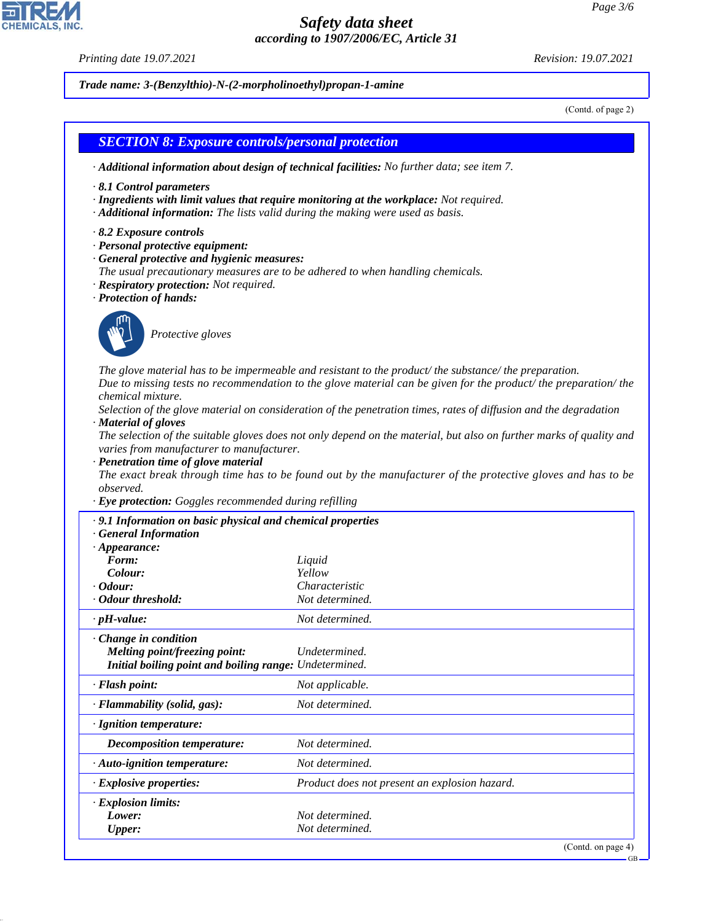*Printing date 19.07.2021 Revision: 19.07.2021*

44.1.1

*Trade name: 3-(Benzylthio)-N-(2-morpholinoethyl)propan-1-amine*

(Contd. of page 2)

# *SECTION 8: Exposure controls/personal protection · Additional information about design of technical facilities: No further data; see item 7. · 8.1 Control parameters · Ingredients with limit values that require monitoring at the workplace: Not required. · Additional information: The lists valid during the making were used as basis. · 8.2 Exposure controls · Personal protective equipment: · General protective and hygienic measures: The usual precautionary measures are to be adhered to when handling chemicals. · Respiratory protection: Not required. · Protection of hands:* \_S*Protective gloves The glove material has to be impermeable and resistant to the product/ the substance/ the preparation. Due to missing tests no recommendation to the glove material can be given for the product/ the preparation/ the chemical mixture. Selection of the glove material on consideration of the penetration times, rates of diffusion and the degradation · Material of gloves The selection of the suitable gloves does not only depend on the material, but also on further marks of quality and varies from manufacturer to manufacturer. · Penetration time of glove material The exact break through time has to be found out by the manufacturer of the protective gloves and has to be observed. · Eye protection: Goggles recommended during refilling · 9.1 Information on basic physical and chemical properties · General Information · Appearance: Form: Liquid*  $Color:$ *· Odour: Characteristic · Odour threshold: Not determined. · pH-value: Not determined. · Change in condition Melting point/freezing point: Undetermined. Initial boiling point and boiling range: Undetermined. · Flash point: Not applicable. · Flammability (solid, gas): Not determined. · Ignition temperature: Decomposition temperature: Not determined. · Auto-ignition temperature: Not determined. · Explosive properties: Product does not present an explosion hazard. · Explosion limits: Lower: Not determined. Upper: Not determined.*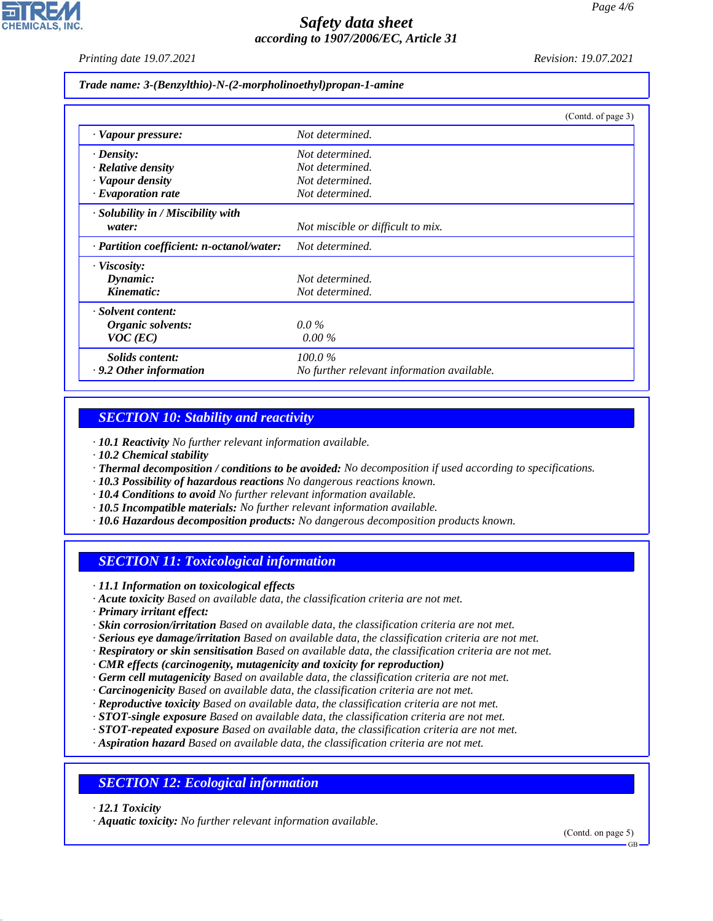*Printing date 19.07.2021 Revision: 19.07.2021*

*Trade name: 3-(Benzylthio)-N-(2-morpholinoethyl)propan-1-amine*

|                                           | (Contd. of page 3)                         |
|-------------------------------------------|--------------------------------------------|
| · Vapour pressure:                        | Not determined.                            |
| $\cdot$ Density:                          | Not determined.                            |
| · Relative density                        | Not determined.                            |
| · Vapour density                          | Not determined.                            |
| $\cdot$ Evaporation rate                  | Not determined.                            |
| $\cdot$ Solubility in / Miscibility with  |                                            |
| water:                                    | Not miscible or difficult to mix.          |
| · Partition coefficient: n-octanol/water: | Not determined.                            |
| $\cdot$ Viscosity:                        |                                            |
| Dynamic:                                  | Not determined.                            |
| Kinematic:                                | Not determined.                            |
| · Solvent content:                        |                                            |
| Organic solvents:                         | $0.0\%$                                    |
| $VOC$ (EC)                                | $0.00\%$                                   |
| Solids content:                           | 100.0%                                     |
| $\cdot$ 9.2 Other information             | No further relevant information available. |

## *SECTION 10: Stability and reactivity*

*· 10.1 Reactivity No further relevant information available.*

- *· 10.2 Chemical stability*
- *· Thermal decomposition / conditions to be avoided: No decomposition if used according to specifications.*
- *· 10.3 Possibility of hazardous reactions No dangerous reactions known.*
- *· 10.4 Conditions to avoid No further relevant information available.*
- *· 10.5 Incompatible materials: No further relevant information available.*
- *· 10.6 Hazardous decomposition products: No dangerous decomposition products known.*

## *SECTION 11: Toxicological information*

*· 11.1 Information on toxicological effects*

- *· Acute toxicity Based on available data, the classification criteria are not met.*
- *· Primary irritant effect:*
- *· Skin corrosion/irritation Based on available data, the classification criteria are not met.*
- *· Serious eye damage/irritation Based on available data, the classification criteria are not met.*
- *· Respiratory or skin sensitisation Based on available data, the classification criteria are not met.*
- *· CMR effects (carcinogenity, mutagenicity and toxicity for reproduction)*
- *· Germ cell mutagenicity Based on available data, the classification criteria are not met.*
- *· Carcinogenicity Based on available data, the classification criteria are not met.*
- *· Reproductive toxicity Based on available data, the classification criteria are not met.*
- *· STOT-single exposure Based on available data, the classification criteria are not met.*
- *· STOT-repeated exposure Based on available data, the classification criteria are not met.*
- *· Aspiration hazard Based on available data, the classification criteria are not met.*

#### *SECTION 12: Ecological information*

*· 12.1 Toxicity*

44.1.1

*· Aquatic toxicity: No further relevant information available.*

(Contd. on page 5)

GB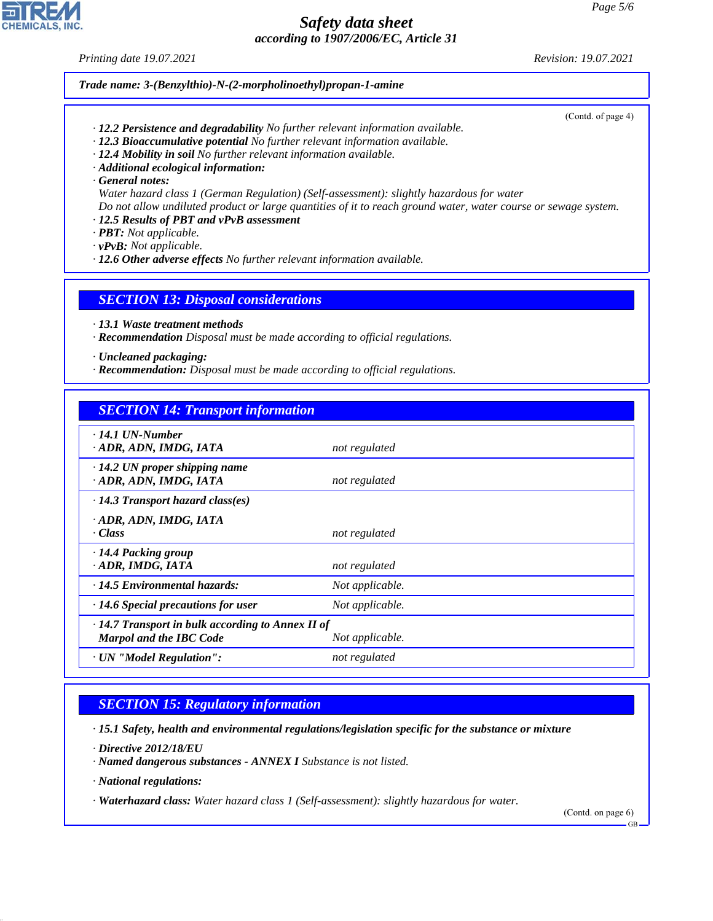*Printing date 19.07.2021 Revision: 19.07.2021*

#### *Trade name: 3-(Benzylthio)-N-(2-morpholinoethyl)propan-1-amine*

(Contd. of page 4)

- *· 12.2 Persistence and degradability No further relevant information available.*
- *· 12.3 Bioaccumulative potential No further relevant information available.*
- *· 12.4 Mobility in soil No further relevant information available.*
- *· Additional ecological information:*
- *· General notes:*

*Water hazard class 1 (German Regulation) (Self-assessment): slightly hazardous for water Do not allow undiluted product or large quantities of it to reach ground water, water course or sewage system.*

- *· 12.5 Results of PBT and vPvB assessment*
- *· PBT: Not applicable.*

*· vPvB: Not applicable.*

*· 12.6 Other adverse effects No further relevant information available.*

#### *SECTION 13: Disposal considerations*

- *· 13.1 Waste treatment methods*
- *· Recommendation Disposal must be made according to official regulations.*
- *· Uncleaned packaging:*
- *· Recommendation: Disposal must be made according to official regulations.*

## *SECTION 14: Transport information*

| $\cdot$ 14.1 UN-Number<br>ADR, ADN, IMDG, IATA                                                               | not regulated   |  |  |
|--------------------------------------------------------------------------------------------------------------|-----------------|--|--|
| $\cdot$ 14.2 UN proper shipping name<br>· ADR, ADN, IMDG, IATA                                               | not regulated   |  |  |
| $\cdot$ 14.3 Transport hazard class(es)                                                                      |                 |  |  |
| ADR, ADN, IMDG, IATA<br>· Class                                                                              | not regulated   |  |  |
| · 14.4 Packing group<br>· ADR, IMDG, IATA                                                                    | not regulated   |  |  |
| $\cdot$ 14.5 Environmental hazards:                                                                          | Not applicable. |  |  |
| $\cdot$ 14.6 Special precautions for user                                                                    | Not applicable. |  |  |
| $\cdot$ 14.7 Transport in bulk according to Annex II of<br><b>Marpol and the IBC Code</b><br>Not applicable. |                 |  |  |
| · UN "Model Regulation":                                                                                     | not regulated   |  |  |

# *SECTION 15: Regulatory information*

*· 15.1 Safety, health and environmental regulations/legislation specific for the substance or mixture*

*· Directive 2012/18/EU*

*· Named dangerous substances - ANNEX I Substance is not listed.*

*· National regulations:*

44.1.1

*· Waterhazard class: Water hazard class 1 (Self-assessment): slightly hazardous for water.*

(Contd. on page 6)

GB